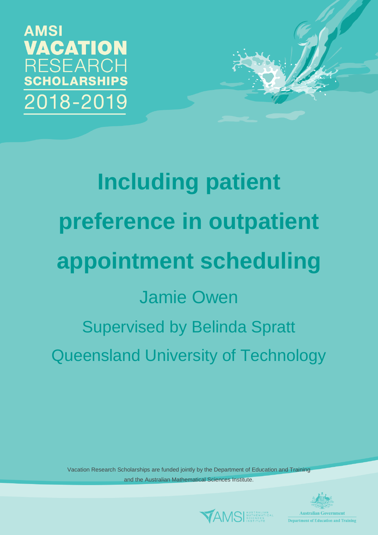**AMSI VACATION RESEARCH SCHOLARSHIPS** 2018-2019

> **Including patient preference in outpatient appointment scheduling** Jamie Owen Supervised by Belinda Spratt Queensland University of Technology

Vacation Research Scholarships are funded jointly by the Department of Education and Training and the Australian Mathematical Sciences Institute.





**Department of Education and Training**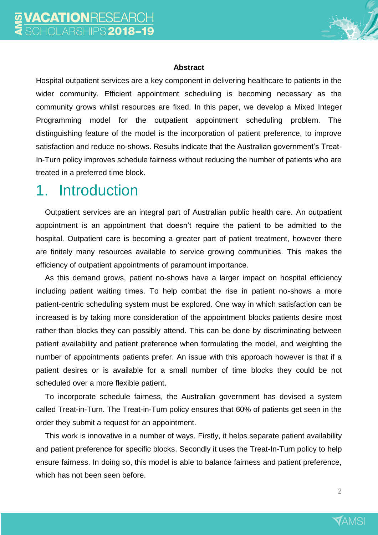

#### **Abstract**

Hospital outpatient services are a key component in delivering healthcare to patients in the wider community. Efficient appointment scheduling is becoming necessary as the community grows whilst resources are fixed. In this paper, we develop a Mixed Integer Programming model for the outpatient appointment scheduling problem. The distinguishing feature of the model is the incorporation of patient preference, to improve satisfaction and reduce no-shows. Results indicate that the Australian government's Treat-In-Turn policy improves schedule fairness without reducing the number of patients who are treated in a preferred time block.

## 1. Introduction

Outpatient services are an integral part of Australian public health care. An outpatient appointment is an appointment that doesn't require the patient to be admitted to the hospital. Outpatient care is becoming a greater part of patient treatment, however there are finitely many resources available to service growing communities. This makes the efficiency of outpatient appointments of paramount importance.

As this demand grows, patient no-shows have a larger impact on hospital efficiency including patient waiting times. To help combat the rise in patient no-shows a more patient-centric scheduling system must be explored. One way in which satisfaction can be increased is by taking more consideration of the appointment blocks patients desire most rather than blocks they can possibly attend. This can be done by discriminating between patient availability and patient preference when formulating the model, and weighting the number of appointments patients prefer. An issue with this approach however is that if a patient desires or is available for a small number of time blocks they could be not scheduled over a more flexible patient.

To incorporate schedule fairness, the Australian government has devised a system called Treat-in-Turn. The Treat-in-Turn policy ensures that 60% of patients get seen in the order they submit a request for an appointment.

This work is innovative in a number of ways. Firstly, it helps separate patient availability and patient preference for specific blocks. Secondly it uses the Treat-In-Turn policy to help ensure fairness. In doing so, this model is able to balance fairness and patient preference, which has not been seen before.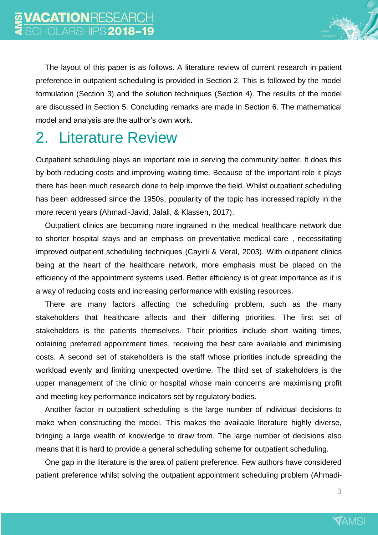

The layout of this paper is as follows. A literature review of current research in patient preference in outpatient scheduling is provided in Section [2.](#page-2-0) This is followed by the model formulation (Section [3\)](#page-3-0) and the solution techniques (Section [4\)](#page-6-0). The results of the model are discussed in Section [5.](#page-7-0) Concluding remarks are made in Section [6.](#page-9-0) The mathematical model and analysis are the author's own work.

# <span id="page-2-0"></span>2. Literature Review

Outpatient scheduling plays an important role in serving the community better. It does this by both reducing costs and improving waiting time. Because of the important role it plays there has been much research done to help improve the field. Whilst outpatient scheduling has been addressed since the 1950s, popularity of the topic has increased rapidly in the more recent years (Ahmadi-Javid, Jalali, & Klassen, 2017).

Outpatient clinics are becoming more ingrained in the medical healthcare network due to shorter hospital stays and an emphasis on preventative medical care , necessitating improved outpatient scheduling techniques (Cayirli & Veral, 2003). With outpatient clinics being at the heart of the healthcare network, more emphasis must be placed on the efficiency of the appointment systems used. Better efficiency is of great importance as it is a way of reducing costs and increasing performance with existing resources.

There are many factors affecting the scheduling problem, such as the many stakeholders that healthcare affects and their differing priorities. The first set of stakeholders is the patients themselves. Their priorities include short waiting times, obtaining preferred appointment times, receiving the best care available and minimising costs. A second set of stakeholders is the staff whose priorities include spreading the workload evenly and limiting unexpected overtime. The third set of stakeholders is the upper management of the clinic or hospital whose main concerns are maximising profit and meeting key performance indicators set by regulatory bodies.

Another factor in outpatient scheduling is the large number of individual decisions to make when constructing the model. This makes the available literature highly diverse, bringing a large wealth of knowledge to draw from. The large number of decisions also means that it is hard to provide a general scheduling scheme for outpatient scheduling.

One gap in the literature is the area of patient preference. Few authors have considered patient preference whilst solving the outpatient appointment scheduling problem (Ahmadi-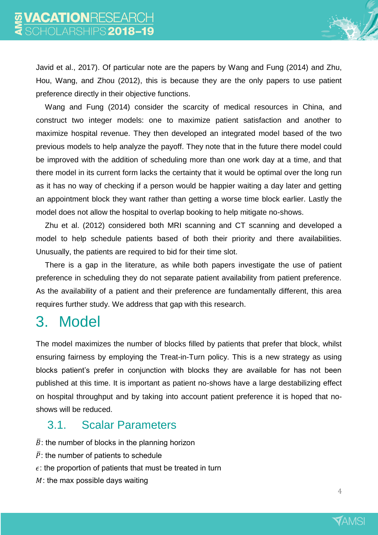Javid et al., 2017). Of particular note are the papers by Wang and Fung (2014) and Zhu, Hou, Wang, and Zhou (2012), this is because they are the only papers to use patient preference directly in their objective functions.

Wang and Fung (2014) consider the scarcity of medical resources in China, and construct two integer models: one to maximize patient satisfaction and another to maximize hospital revenue. They then developed an integrated model based of the two previous models to help analyze the payoff. They note that in the future there model could be improved with the addition of scheduling more than one work day at a time, and that there model in its current form lacks the certainty that it would be optimal over the long run as it has no way of checking if a person would be happier waiting a day later and getting an appointment block they want rather than getting a worse time block earlier. Lastly the model does not allow the hospital to overlap booking to help mitigate no-shows.

Zhu et al. (2012) considered both MRI scanning and CT scanning and developed a model to help schedule patients based of both their priority and there availabilities. Unusually, the patients are required to bid for their time slot.

There is a gap in the literature, as while both papers investigate the use of patient preference in scheduling they do not separate patient availability from patient preference. As the availability of a patient and their preference are fundamentally different, this area requires further study. We address that gap with this research.

## <span id="page-3-0"></span>3. Model

The model maximizes the number of blocks filled by patients that prefer that block, whilst ensuring fairness by employing the Treat-in-Turn policy. This is a new strategy as using blocks patient's prefer in conjunction with blocks they are available for has not been published at this time. It is important as patient no-shows have a large destabilizing effect on hospital throughput and by taking into account patient preference it is hoped that noshows will be reduced.

#### 3.1. Scalar Parameters

- $\bar{B}$ : the number of blocks in the planning horizon
- $\overline{P}$ : the number of patients to schedule
- $\epsilon$ : the proportion of patients that must be treated in turn
- $M$ : the max possible days waiting

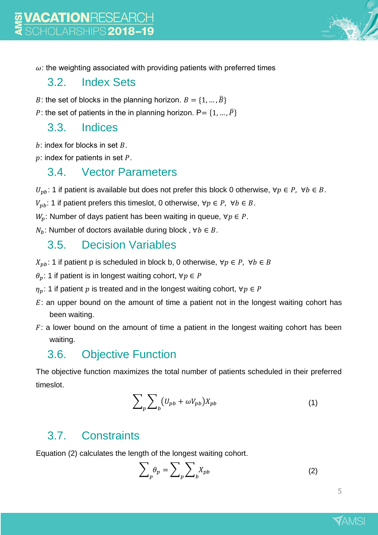

#### 3.2. Index Sets

- B: the set of blocks in the planning horizon.  $B = \{1, ..., \overline{B}\}\$
- P: the set of patients in the in planning horizon.  $P = \{1, ..., \overline{P}\}\$

#### 3.3. Indices

 $b$ : index for blocks in set  $B$ .

 $p$ : index for patients in set  $P$ .

#### 3.4. Vector Parameters

 $U_{pb}$ : 1 if patient is available but does not prefer this block 0 otherwise,  $\forall p \in P$ ,  $\forall b \in B$ .

 $V_{pb}$ : 1 if patient prefers this timeslot, 0 otherwise,  $\forall p \in P$ ,  $\forall b \in B$ .

 $W_p$ : Number of days patient has been waiting in queue,  $\forall p \in P$ .

 $N_h$ : Number of doctors available during block,  $\forall b \in B$ .

#### 3.5. Decision Variables

 $X_{nb}$ : 1 if patient p is scheduled in block b, 0 otherwise,  $\forall p \in P$ ,  $\forall b \in B$ 

 $\theta_p$ : 1 if patient is in longest waiting cohort,  $\forall p \in P$ 

 $\eta_p$ : 1 if patient  $p$  is treated and in the longest waiting cohort,  $\forall p \in P$ 

- $E$ : an upper bound on the amount of time a patient not in the longest waiting cohort has been waiting.
- $F:$  a lower bound on the amount of time a patient in the longest waiting cohort has been waiting.

#### 3.6. Objective Function

The objective function maximizes the total number of patients scheduled in their preferred timeslot.

$$
\sum_{p} \sum_{b} (U_{pb} + \omega V_{pb}) X_{pb} \tag{1}
$$

#### 3.7. Constraints

Equation (2) calculates the length of the longest waiting cohort.

$$
\sum_{p} \theta_{p} = \sum_{p} \sum_{b} X_{pb} \tag{2}
$$

5

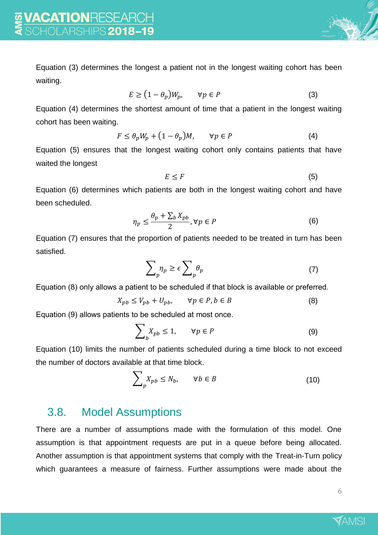

Equation (3) determines the longest a patient not in the longest waiting cohort has been waiting.

$$
E \ge (1 - \theta_p)W_p, \qquad \forall p \in P \tag{3}
$$

Equation (4) determines the shortest amount of time that a patient in the longest waiting cohort has been waiting.

$$
F \le \theta_p W_p + (1 - \theta_p) M, \qquad \forall p \in P \tag{4}
$$

Equation (5) ensures that the longest waiting cohort only contains patients that have waited the longest

$$
E \leq F \tag{5}
$$

Equation (6) determines which patients are both in the longest waiting cohort and have been scheduled.

$$
\eta_p \le \frac{\theta_p + \sum_b X_{pb}}{2}, \forall p \in P \tag{6}
$$

Equation (7) ensures that the proportion of patients needed to be treated in turn has been satisfied.

$$
\sum_{p} \eta_{p} \ge \epsilon \sum_{p} \theta_{p} \tag{7}
$$

Equation (8) only allows a patient to be scheduled if that block is available or preferred.

$$
X_{pb} \le V_{pb} + U_{pb}, \qquad \forall p \in P, b \in B \tag{8}
$$

Equation (9) allows patients to be scheduled at most once.

$$
\sum_{b} X_{pb} \le 1, \qquad \forall p \in P \tag{9}
$$

Equation (10) limits the number of patients scheduled during a time block to not exceed the number of doctors available at that time block.

$$
\sum_{p} X_{p} \le N_b, \qquad \forall b \in B \tag{10}
$$

#### 3.8. Model Assumptions

There are a number of assumptions made with the formulation of this model. One assumption is that appointment requests are put in a queue before being allocated. Another assumption is that appointment systems that comply with the Treat-in-Turn policy which guarantees a measure of fairness. Further assumptions were made about the

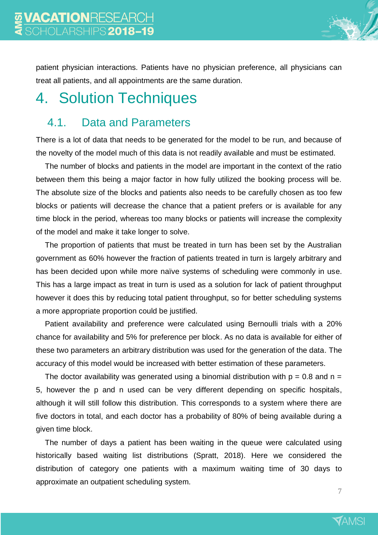

patient physician interactions. Patients have no physician preference, all physicians can treat all patients, and all appointments are the same duration.

# <span id="page-6-0"></span>4. Solution Techniques

#### 4.1. Data and Parameters

There is a lot of data that needs to be generated for the model to be run, and because of the novelty of the model much of this data is not readily available and must be estimated.

The number of blocks and patients in the model are important in the context of the ratio between them this being a major factor in how fully utilized the booking process will be. The absolute size of the blocks and patients also needs to be carefully chosen as too few blocks or patients will decrease the chance that a patient prefers or is available for any time block in the period, whereas too many blocks or patients will increase the complexity of the model and make it take longer to solve.

The proportion of patients that must be treated in turn has been set by the Australian government as 60% however the fraction of patients treated in turn is largely arbitrary and has been decided upon while more naïve systems of scheduling were commonly in use. This has a large impact as treat in turn is used as a solution for lack of patient throughput however it does this by reducing total patient throughput, so for better scheduling systems a more appropriate proportion could be justified.

Patient availability and preference were calculated using Bernoulli trials with a 20% chance for availability and 5% for preference per block. As no data is available for either of these two parameters an arbitrary distribution was used for the generation of the data. The accuracy of this model would be increased with better estimation of these parameters.

The doctor availability was generated using a binomial distribution with  $p = 0.8$  and  $n =$ 5, however the p and n used can be very different depending on specific hospitals, although it will still follow this distribution. This corresponds to a system where there are five doctors in total, and each doctor has a probability of 80% of being available during a given time block.

The number of days a patient has been waiting in the queue were calculated using historically based waiting list distributions (Spratt, 2018). Here we considered the distribution of category one patients with a maximum waiting time of 30 days to approximate an outpatient scheduling system.

7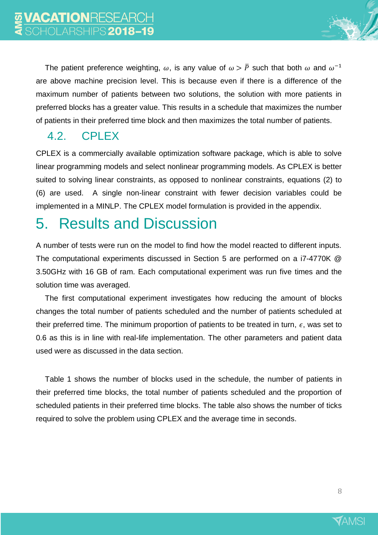The patient preference weighting,  $\omega$ , is any value of  $\omega > \bar{P}$  such that both  $\omega$  and  $\omega^{-1}$ are above machine precision level. This is because even if there is a difference of the maximum number of patients between two solutions, the solution with more patients in preferred blocks has a greater value. This results in a schedule that maximizes the number of patients in their preferred time block and then maximizes the total number of patients.

### 4.2. CPLEX

CPLEX is a commercially available optimization software package, which is able to solve linear programming models and select nonlinear programming models. As CPLEX is better suited to solving linear constraints, as opposed to nonlinear constraints, equations (2) to (6) are used. A single non-linear constraint with fewer decision variables could be implemented in a MINLP. The CPLEX model formulation is provided in the appendix.

# <span id="page-7-0"></span>5. Results and Discussion

A number of tests were run on the model to find how the model reacted to different inputs. The computational experiments discussed in Section [5](#page-7-0) are performed on a i7-4770K @ 3.50GHz with 16 GB of ram. Each computational experiment was run five times and the solution time was averaged.

The first computational experiment investigates how reducing the amount of blocks changes the total number of patients scheduled and the number of patients scheduled at their preferred time. The minimum proportion of patients to be treated in turn,  $\epsilon$ , was set to 0.6 as this is in line with real-life implementation. The other parameters and patient data used were as discussed in the data section.

[Table 1](#page-8-0) shows the number of blocks used in the schedule, the number of patients in their preferred time blocks, the total number of patients scheduled and the proportion of scheduled patients in their preferred time blocks. The table also shows the number of ticks required to solve the problem using CPLEX and the average time in seconds.

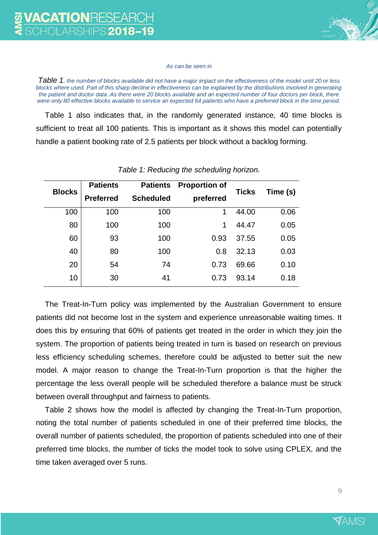

#### *As can be seen in*

*[Table 1](#page-8-0), the number of blocks available did not have a major impact on the effectiveness of the model until 20 or less blocks where used. Part of this sharp decline in effectiveness can be explained by the distributions involved in generating the patient and doctor data. As there were 20 blocks available and an expected number of four doctors per block, there were only 80 effective blocks available to service an expected 64 patients who have a preferred block in the time period.*

[Table 1](#page-8-0) also indicates that, in the randomly generated instance, 40 time blocks is sufficient to treat all 100 patients. This is important as it shows this model can potentially handle a patient booking rate of 2.5 patients per block without a backlog forming.

<span id="page-8-0"></span>

| <b>Blocks</b> | <b>Patients</b><br><b>Preferred</b> | <b>Patients</b><br><b>Scheduled</b> | <b>Proportion of</b><br>preferred | <b>Ticks</b> | Time (s) |
|---------------|-------------------------------------|-------------------------------------|-----------------------------------|--------------|----------|
| 100           | 100                                 | 100                                 | 1                                 | 44.00        | 0.06     |
| 80            | 100                                 | 100                                 | 1                                 | 44.47        | 0.05     |
| 60            | 93                                  | 100                                 | 0.93                              | 37.55        | 0.05     |
| 40            | 80                                  | 100                                 | 0.8                               | 32.13        | 0.03     |
| 20            | 54                                  | 74                                  | 0.73                              | 69.66        | 0.10     |
| 10            | 30                                  | 41                                  | 0.73                              | 93.14        | 0.18     |

#### *Table 1: Reducing the scheduling horizon.*

The Treat-In-Turn policy was implemented by the Australian Government to ensure patients did not become lost in the system and experience unreasonable waiting times. It does this by ensuring that 60% of patients get treated in the order in which they join the system. The proportion of patients being treated in turn is based on research on previous less efficiency scheduling schemes, therefore could be adjusted to better suit the new model. A major reason to change the Treat-In-Turn proportion is that the higher the percentage the less overall people will be scheduled therefore a balance must be struck between overall throughput and fairness to patients.

[Table 2](#page-9-1) shows how the model is affected by changing the Treat-In-Turn proportion, noting the total number of patients scheduled in one of their preferred time blocks, the overall number of patients scheduled, the proportion of patients scheduled into one of their preferred time blocks, the number of ticks the model took to solve using CPLEX, and the time taken averaged over 5 runs.

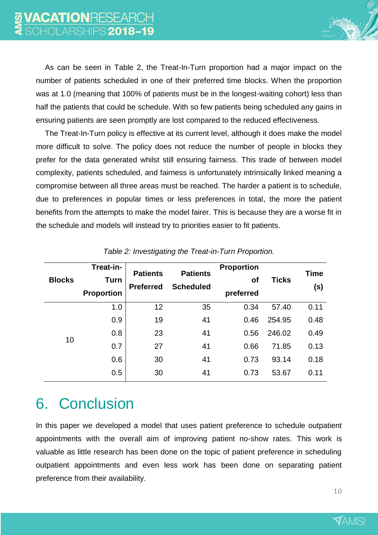

As can be seen in Table 2, the Treat-In-Turn proportion had a major impact on the number of patients scheduled in one of their preferred time blocks. When the proportion was at 1.0 (meaning that 100% of patients must be in the longest-waiting cohort) less than half the patients that could be schedule. With so few patients being scheduled any gains in ensuring patients are seen promptly are lost compared to the reduced effectiveness.

The Treat-In-Turn policy is effective at its current level, although it does make the model more difficult to solve. The policy does not reduce the number of people in blocks they prefer for the data generated whilst still ensuring fairness. This trade of between model complexity, patients scheduled, and fairness is unfortunately intrinsically linked meaning a compromise between all three areas must be reached. The harder a patient is to schedule, due to preferences in popular times or less preferences in total, the more the patient benefits from the attempts to make the model fairer. This is because they are a worse fit in the schedule and models will instead try to priorities easier to fit patients.

<span id="page-9-1"></span>

| <b>Blocks</b> | Treat-in-<br>Turn<br><b>Proportion</b> | <b>Patients</b><br><b>Preferred</b> | <b>Patients</b><br><b>Scheduled</b> | <b>Proportion</b><br><b>of</b><br>preferred | <b>Ticks</b> | <b>Time</b><br>(s) |
|---------------|----------------------------------------|-------------------------------------|-------------------------------------|---------------------------------------------|--------------|--------------------|
| 10            | 1.0                                    | 12                                  | 35                                  | 0.34                                        | 57.40        | 0.11               |
|               | 0.9                                    | 19                                  | 41                                  | 0.46                                        | 254.95       | 0.48               |
|               | 0.8                                    | 23                                  | 41                                  | 0.56                                        | 246.02       | 0.49               |
|               | 0.7                                    | 27                                  | 41                                  | 0.66                                        | 71.85        | 0.13               |
|               | 0.6                                    | 30                                  | 41                                  | 0.73                                        | 93.14        | 0.18               |
|               | 0.5                                    | 30                                  | 41                                  | 0.73                                        | 53.67        | 0.11               |

*Table 2: Investigating the Treat-in-Turn Proportion.*

# <span id="page-9-0"></span>6. Conclusion

In this paper we developed a model that uses patient preference to schedule outpatient appointments with the overall aim of improving patient no-show rates. This work is valuable as little research has been done on the topic of patient preference in scheduling outpatient appointments and even less work has been done on separating patient preference from their availability.

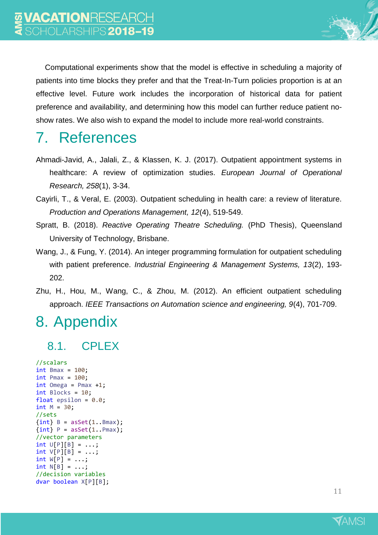

Computational experiments show that the model is effective in scheduling a majority of patients into time blocks they prefer and that the Treat-In-Turn policies proportion is at an effective level. Future work includes the incorporation of historical data for patient preference and availability, and determining how this model can further reduce patient noshow rates. We also wish to expand the model to include more real-world constraints.

## 7. References

- Ahmadi-Javid, A., Jalali, Z., & Klassen, K. J. (2017). Outpatient appointment systems in healthcare: A review of optimization studies. *European Journal of Operational Research, 258*(1), 3-34.
- Cayirli, T., & Veral, E. (2003). Outpatient scheduling in health care: a review of literature. *Production and Operations Management, 12*(4), 519-549.
- Spratt, B. (2018). *Reactive Operating Theatre Scheduling.* (PhD Thesis), Queensland University of Technology, Brisbane.
- Wang, J., & Fung, Y. (2014). An integer programming formulation for outpatient scheduling with patient preference. *Industrial Engineering & Management Systems, 13*(2), 193- 202.
- Zhu, H., Hou, M., Wang, C., & Zhou, M. (2012). An efficient outpatient scheduling approach. *IEEE Transactions on Automation science and engineering, 9*(4), 701-709.

## 8. Appendix

### 8.1. CPLEX

```
//scalars
int Bmax = 100;int Pmax = 100;int Omega = Pmax +1;
int Blocks = 10;
float epsilon = 0.0;
int M = 30;
//sets
\{int\} B = asSet(1..Bmax);
\{int\} P = \text{asSet}(1..Pmax);//vector parameters
int U[P][B] = ...;int V[P][B] = ...;int W[P] = ...;int N[B] = ...;//decision variables
dvar boolean X[P][B];
```
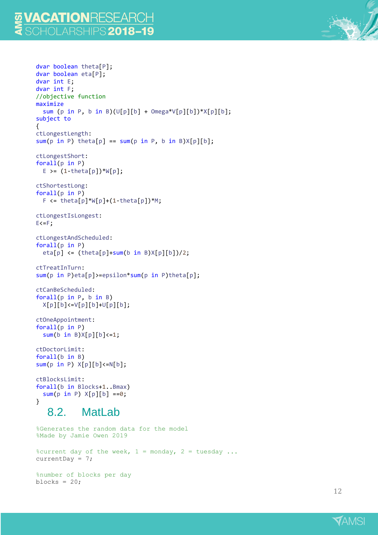#### VACATIONRESEARCH OI ARSHIPS **2018-19**

```
dvar boolean theta[P];
dvar boolean eta[P];
dvar int E;
dvar int F;
//objective function
maximize
  sum (p in P, b in B)(U[p][b] + Omega*V[p][b])*X[p][b];
subject to
{
ctLongestLength:
sum(p in P) theta[p] == sum(p in P, b in B)X[p][b];ctLongestShort:
forall(p in P)
  E >= (1 - \theta) \forall [p];
ctShortestLong:
forall(p in P)
  F \le theta[p]*W[p]+(1-theta[p])*M;
ctLongestIsLongest:
E \le F;ctLongestAndScheduled:
forall(p in P)
  eta[p] \leftarrow (theta[p]+sum(b in B)X[p][b])/2;
ctTreatInTurn:
sum(p in P)eta[p]>=epsilon*sum(p in P)theta[p];
ctCanBeScheduled:
forall(p in P, b in B)
  X[p][b]<=V[p][b]+U[p][b];
ctOneAppointment:
forall(p in P)
  sum(b in B[X[p][b]<=1;ctDoctorLimit:
forall(b in B)
sum(p in P) X[p][b]<=N[b];
ctBlocksLimit:
forall(b in Blocks+1..Bmax)
  sum(p in P) X[p][b] == 0;}
   8.2. MatLab
%Generates the random data for the model
%Made by Jamie Owen 2019
%current day of the week, 1 = \text{monday}, 2 = \text{tuesday}...
currentDay = 7;%number of blocks per day
blocks = 20;
```
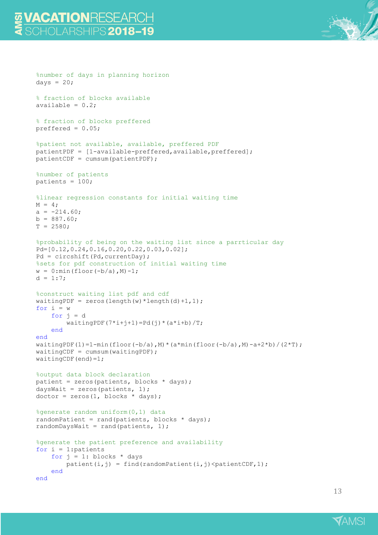### VACATIONRESEARCH CHOLARSHIPS 2018–19

%number of days in planning horizon

```
days = 20;
% fraction of blocks available
available = 0.2;
% fraction of blocks preffered
preffered = 0.05;
%patient not available, available, preffered PDF
patientPDF = [1-available-preffered,available,preffered];
patientCDF = cumsum(patientPDF);
%number of patients
patients = 100;
%linear regression constants for initial waiting time
M = 4;a = -214.60;b = 887.60;T = 2580;%probability of being on the waiting list since a parrticular day
Pd=[0.12,0.24,0.16,0.20,0.22,0.03,0.02];
Pd = circshift(Pd, currentDay);
%sets for pdf construction of initial waiting time
w = 0: min(floor(-b/a), M) - 1;d = 1:7;%construct waiting list pdf and cdf
waitingPDF = zeros(length(w) *length(d) +1, 1);
for i = wfor j = dwidth() T; width() T; % end
end
waitingPDF(1)=1-min(floor(-b/a),M)*(a*min(floor(-b/a),M)-a+2*b)/(2*T);
waitingCDF = cumsum(waitingPDF);
waitingCDF(end)=1;
%output data block declaration
patient = zeros(patients, blocks * days);
daysWait = zeros(patients, 1);dot = zeros(1, blocks * days);%generate random uniform(0,1) data
randomPatient = rand(patients, blocks * days);
randomDaysWait = rand(patients, 1);
%generate the patient preference and availability
for i = 1: patients
    for j = 1: blocks * days
        patient(i,j) = find(randomPatient(i,j)<patientCDF,1);
     end
end
```